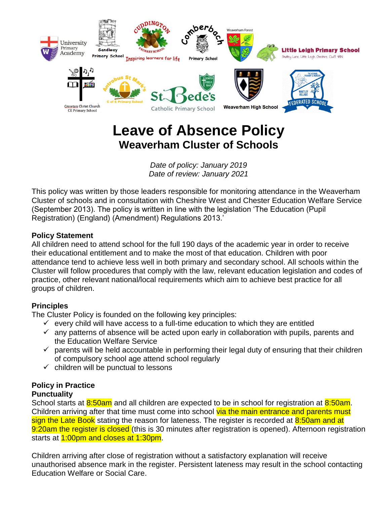

# **Leave of Absence Policy Weaverham Cluster of Schools**

*Date of policy: January 2019 Date of review: January 2021*

This policy was written by those leaders responsible for monitoring attendance in the Weaverham Cluster of schools and in consultation with Cheshire West and Chester Education Welfare Service (September 2013). The policy is written in line with the legislation 'The Education (Pupil Registration) (England) (Amendment) Regulations 2013.'

## **Policy Statement**

All children need to attend school for the full 190 days of the academic year in order to receive their educational entitlement and to make the most of that education. Children with poor attendance tend to achieve less well in both primary and secondary school. All schools within the Cluster will follow procedures that comply with the law, relevant education legislation and codes of practice, other relevant national/local requirements which aim to achieve best practice for all groups of children.

#### **Principles**

The Cluster Policy is founded on the following key principles:

- $\checkmark$  every child will have access to a full-time education to which they are entitled
- $\checkmark$  any patterns of absence will be acted upon early in collaboration with pupils, parents and the Education Welfare Service
- $\checkmark$  parents will be held accountable in performing their legal duty of ensuring that their children of compulsory school age attend school regularly
- $\checkmark$  children will be punctual to lessons

#### **Policy in Practice Punctuality**

School starts at 8:50am and all children are expected to be in school for registration at 8:50am. Children arriving after that time must come into school via the main entrance and parents must sign the Late Book stating the reason for lateness. The register is recorded at 8:50am and at 9:20am the register is closed (this is 30 minutes after registration is opened). Afternoon registration starts at 1:00pm and closes at 1:30pm.

Children arriving after close of registration without a satisfactory explanation will receive unauthorised absence mark in the register. Persistent lateness may result in the school contacting Education Welfare or Social Care.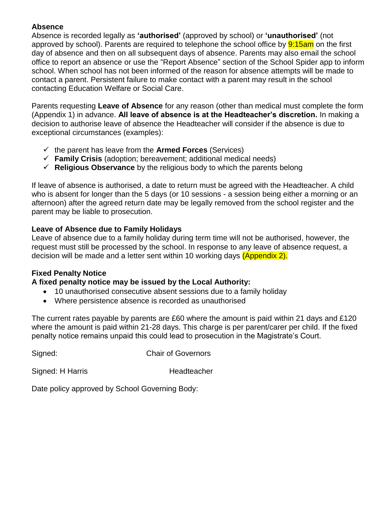### **Absence**

Absence is recorded legally as **'authorised'** (approved by school) or **'unauthorised'** (not approved by school). Parents are required to telephone the school office by **9:15am** on the first day of absence and then on all subsequent days of absence. Parents may also email the school office to report an absence or use the "Report Absence" section of the School Spider app to inform school. When school has not been informed of the reason for absence attempts will be made to contact a parent. Persistent failure to make contact with a parent may result in the school contacting Education Welfare or Social Care.

Parents requesting **Leave of Absence** for any reason (other than medical must complete the form (Appendix 1) in advance. **All leave of absence is at the Headteacher's discretion.** In making a decision to authorise leave of absence the Headteacher will consider if the absence is due to exceptional circumstances (examples):

- $\checkmark$  the parent has leave from the **Armed Forces** (Services)
- **Family Crisis** (adoption; bereavement; additional medical needs)
- **Religious Observance** by the religious body to which the parents belong

If leave of absence is authorised, a date to return must be agreed with the Headteacher. A child who is absent for longer than the 5 days (or 10 sessions - a session being either a morning or an afternoon) after the agreed return date may be legally removed from the school register and the parent may be liable to prosecution.

## **Leave of Absence due to Family Holidays**

Leave of absence due to a family holiday during term time will not be authorised, however, the request must still be processed by the school. In response to any leave of absence request, a decision will be made and a letter sent within 10 working days (Appendix 2).

## **Fixed Penalty Notice**

## **A fixed penalty notice may be issued by the Local Authority:**

- 10 unauthorised consecutive absent sessions due to a family holiday
- Where persistence absence is recorded as unauthorised

The current rates payable by parents are £60 where the amount is paid within 21 days and £120 where the amount is paid within 21-28 days. This charge is per parent/carer per child. If the fixed penalty notice remains unpaid this could lead to prosecution in the Magistrate's Court.

Signed: Chair of Governors

Signed: H Harris Headteacher

Date policy approved by School Governing Body: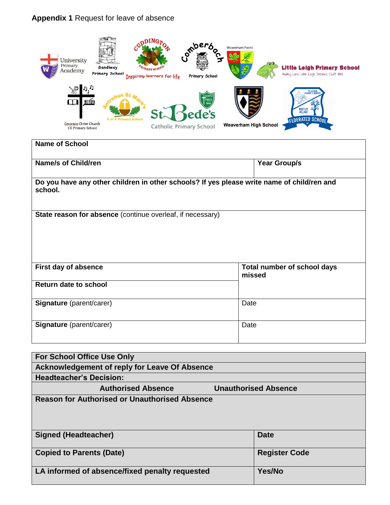## **Appendix 1** Request for leave of absence